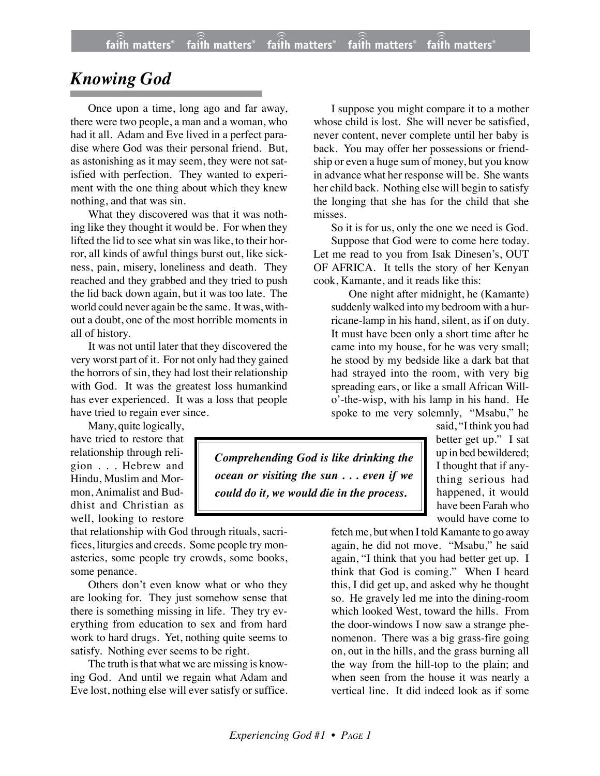## *Knowing God*

Once upon a time, long ago and far away, there were two people, a man and a woman, who had it all. Adam and Eve lived in a perfect paradise where God was their personal friend. But, as astonishing as it may seem, they were not satisfied with perfection. They wanted to experiment with the one thing about which they knew nothing, and that was sin.

What they discovered was that it was nothing like they thought it would be. For when they lifted the lid to see what sin was like, to their horror, all kinds of awful things burst out, like sickness, pain, misery, loneliness and death. They reached and they grabbed and they tried to push the lid back down again, but it was too late. The world could never again be the same. It was, without a doubt, one of the most horrible moments in all of history.

It was not until later that they discovered the very worst part of it. For not only had they gained the horrors of sin, they had lost their relationship with God. It was the greatest loss humankind has ever experienced. It was a loss that people have tried to regain ever since.

Many, quite logically,

have tried to restore that relationship through religion . . . Hebrew and Hindu, Muslim and Mormon, Animalist and Buddhist and Christian as well, looking to restore

that relationship with God through rituals, sacrifices, liturgies and creeds. Some people try monasteries, some people try crowds, some books, some penance.

Others don't even know what or who they are looking for. They just somehow sense that there is something missing in life. They try everything from education to sex and from hard work to hard drugs. Yet, nothing quite seems to satisfy. Nothing ever seems to be right.

The truth is that what we are missing is knowing God. And until we regain what Adam and Eve lost, nothing else will ever satisfy or suffice.

I suppose you might compare it to a mother whose child is lost. She will never be satisfied, never content, never complete until her baby is back. You may offer her possessions or friendship or even a huge sum of money, but you know in advance what her response will be. She wants her child back. Nothing else will begin to satisfy the longing that she has for the child that she misses.

So it is for us, only the one we need is God.

Suppose that God were to come here today. Let me read to you from Isak Dinesen's, OUT OF AFRICA. It tells the story of her Kenyan cook, Kamante, and it reads like this:

One night after midnight, he (Kamante) suddenly walked into my bedroom with a hurricane-lamp in his hand, silent, as if on duty. It must have been only a short time after he came into my house, for he was very small; he stood by my bedside like a dark bat that had strayed into the room, with very big spreading ears, or like a small African Willo'-the-wisp, with his lamp in his hand. He spoke to me very solemnly, "Msabu," he

*Comprehending God is like drinking the ocean or visiting the sun . . . even if we could do it, we would die in the process.*

said, "I think you had better get up." I sat up in bed bewildered; I thought that if anything serious had happened, it would have been Farah who would have come to

fetch me, but when I told Kamante to go away again, he did not move. "Msabu," he said again, "I think that you had better get up. I think that God is coming." When I heard this, I did get up, and asked why he thought so. He gravely led me into the dining-room which looked West, toward the hills. From the door-windows I now saw a strange phenomenon. There was a big grass-fire going on, out in the hills, and the grass burning all the way from the hill-top to the plain; and when seen from the house it was nearly a vertical line. It did indeed look as if some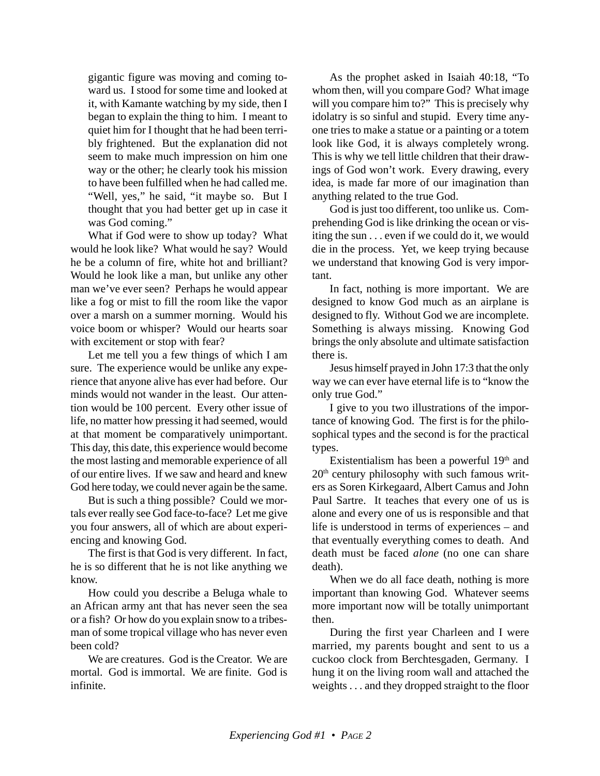gigantic figure was moving and coming toward us. I stood for some time and looked at it, with Kamante watching by my side, then I began to explain the thing to him. I meant to quiet him for I thought that he had been terribly frightened. But the explanation did not seem to make much impression on him one way or the other; he clearly took his mission to have been fulfilled when he had called me. "Well, yes," he said, "it maybe so. But I thought that you had better get up in case it was God coming."

What if God were to show up today? What would he look like? What would he say? Would he be a column of fire, white hot and brilliant? Would he look like a man, but unlike any other man we've ever seen? Perhaps he would appear like a fog or mist to fill the room like the vapor over a marsh on a summer morning. Would his voice boom or whisper? Would our hearts soar with excitement or stop with fear?

Let me tell you a few things of which I am sure. The experience would be unlike any experience that anyone alive has ever had before. Our minds would not wander in the least. Our attention would be 100 percent. Every other issue of life, no matter how pressing it had seemed, would at that moment be comparatively unimportant. This day, this date, this experience would become the most lasting and memorable experience of all of our entire lives. If we saw and heard and knew God here today, we could never again be the same.

But is such a thing possible? Could we mortals ever really see God face-to-face? Let me give you four answers, all of which are about experiencing and knowing God.

The first is that God is very different. In fact, he is so different that he is not like anything we know.

How could you describe a Beluga whale to an African army ant that has never seen the sea or a fish? Or how do you explain snow to a tribesman of some tropical village who has never even been cold?

We are creatures. God is the Creator. We are mortal. God is immortal. We are finite. God is infinite.

As the prophet asked in Isaiah 40:18, "To whom then, will you compare God? What image will you compare him to?" This is precisely why idolatry is so sinful and stupid. Every time anyone tries to make a statue or a painting or a totem look like God, it is always completely wrong. This is why we tell little children that their drawings of God won't work. Every drawing, every idea, is made far more of our imagination than anything related to the true God.

God is just too different, too unlike us. Comprehending God is like drinking the ocean or visiting the sun . . . even if we could do it, we would die in the process. Yet, we keep trying because we understand that knowing God is very important.

In fact, nothing is more important. We are designed to know God much as an airplane is designed to fly. Without God we are incomplete. Something is always missing. Knowing God brings the only absolute and ultimate satisfaction there is.

Jesus himself prayed in John 17:3 that the only way we can ever have eternal life is to "know the only true God."

I give to you two illustrations of the importance of knowing God. The first is for the philosophical types and the second is for the practical types.

Existentialism has been a powerful  $19<sup>th</sup>$  and 20th century philosophy with such famous writers as Soren Kirkegaard, Albert Camus and John Paul Sartre. It teaches that every one of us is alone and every one of us is responsible and that life is understood in terms of experiences – and that eventually everything comes to death. And death must be faced *alone* (no one can share death).

When we do all face death, nothing is more important than knowing God. Whatever seems more important now will be totally unimportant then.

During the first year Charleen and I were married, my parents bought and sent to us a cuckoo clock from Berchtesgaden, Germany. I hung it on the living room wall and attached the weights . . . and they dropped straight to the floor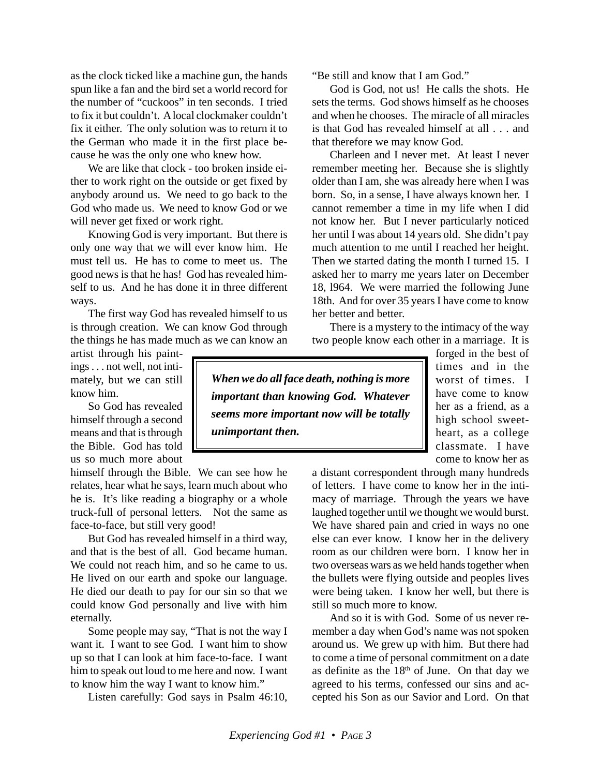as the clock ticked like a machine gun, the hands spun like a fan and the bird set a world record for the number of "cuckoos" in ten seconds. I tried to fix it but couldn't. A local clockmaker couldn't fix it either. The only solution was to return it to the German who made it in the first place because he was the only one who knew how.

We are like that clock - too broken inside either to work right on the outside or get fixed by anybody around us. We need to go back to the God who made us. We need to know God or we will never get fixed or work right.

Knowing God is very important. But there is only one way that we will ever know him. He must tell us. He has to come to meet us. The good news is that he has! God has revealed himself to us. And he has done it in three different ways.

The first way God has revealed himself to us is through creation. We can know God through the things he has made much as we can know an

artist through his paintings . . . not well, not intimately, but we can still know him.

So God has revealed himself through a second means and that is through the Bible. God has told us so much more about

himself through the Bible. We can see how he relates, hear what he says, learn much about who he is. It's like reading a biography or a whole truck-full of personal letters. Not the same as face-to-face, but still very good!

But God has revealed himself in a third way, and that is the best of all. God became human. We could not reach him, and so he came to us. He lived on our earth and spoke our language. He died our death to pay for our sin so that we could know God personally and live with him eternally.

Some people may say, "That is not the way I want it. I want to see God. I want him to show up so that I can look at him face-to-face. I want him to speak out loud to me here and now. I want to know him the way I want to know him."

Listen carefully: God says in Psalm 46:10,

"Be still and know that I am God."

God is God, not us! He calls the shots. He sets the terms. God shows himself as he chooses and when he chooses. The miracle of all miracles is that God has revealed himself at all . . . and that therefore we may know God.

Charleen and I never met. At least I never remember meeting her. Because she is slightly older than I am, she was already here when I was born. So, in a sense, I have always known her. I cannot remember a time in my life when I did not know her. But I never particularly noticed her until I was about 14 years old. She didn't pay much attention to me until I reached her height. Then we started dating the month I turned 15. I asked her to marry me years later on December 18, l964. We were married the following June 18th. And for over 35 years I have come to know her better and better.

There is a mystery to the intimacy of the way two people know each other in a marriage. It is

*When we do all face death, nothing is more important than knowing God. Whatever seems more important now will be totally unimportant then.*

forged in the best of times and in the worst of times. I have come to know her as a friend, as a high school sweetheart, as a college classmate. I have come to know her as

a distant correspondent through many hundreds of letters. I have come to know her in the intimacy of marriage. Through the years we have laughed together until we thought we would burst. We have shared pain and cried in ways no one else can ever know. I know her in the delivery room as our children were born. I know her in two overseas wars as we held hands together when the bullets were flying outside and peoples lives were being taken. I know her well, but there is still so much more to know.

And so it is with God. Some of us never remember a day when God's name was not spoken around us. We grew up with him. But there had to come a time of personal commitment on a date as definite as the 18th of June. On that day we agreed to his terms, confessed our sins and accepted his Son as our Savior and Lord. On that